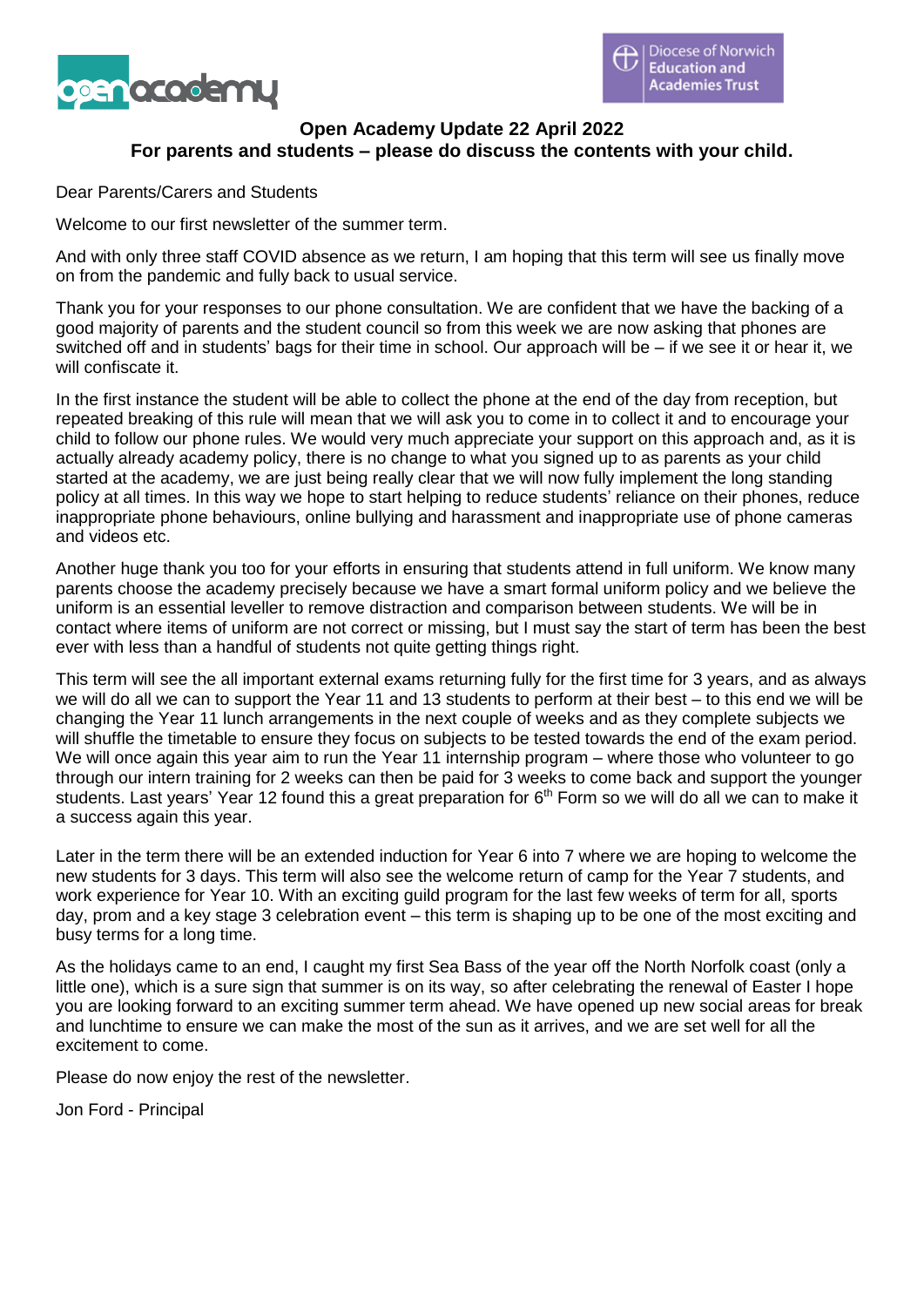

# **Open Academy Update 22 April 2022 For parents and students – please do discuss the contents with your child.**

Dear Parents/Carers and Students

Welcome to our first newsletter of the summer term.

And with only three staff COVID absence as we return, I am hoping that this term will see us finally move on from the pandemic and fully back to usual service.

Thank you for your responses to our phone consultation. We are confident that we have the backing of a good majority of parents and the student council so from this week we are now asking that phones are switched off and in students' bags for their time in school. Our approach will be – if we see it or hear it, we will confiscate it.

In the first instance the student will be able to collect the phone at the end of the day from reception, but repeated breaking of this rule will mean that we will ask you to come in to collect it and to encourage your child to follow our phone rules. We would very much appreciate your support on this approach and, as it is actually already academy policy, there is no change to what you signed up to as parents as your child started at the academy, we are just being really clear that we will now fully implement the long standing policy at all times. In this way we hope to start helping to reduce students' reliance on their phones, reduce inappropriate phone behaviours, online bullying and harassment and inappropriate use of phone cameras and videos etc.

Another huge thank you too for your efforts in ensuring that students attend in full uniform. We know many parents choose the academy precisely because we have a smart formal uniform policy and we believe the uniform is an essential leveller to remove distraction and comparison between students. We will be in contact where items of uniform are not correct or missing, but I must say the start of term has been the best ever with less than a handful of students not quite getting things right.

This term will see the all important external exams returning fully for the first time for 3 years, and as always we will do all we can to support the Year 11 and 13 students to perform at their best – to this end we will be changing the Year 11 lunch arrangements in the next couple of weeks and as they complete subjects we will shuffle the timetable to ensure they focus on subjects to be tested towards the end of the exam period. We will once again this year aim to run the Year 11 internship program – where those who volunteer to go through our intern training for 2 weeks can then be paid for 3 weeks to come back and support the younger students. Last years' Year 12 found this a great preparation for 6<sup>th</sup> Form so we will do all we can to make it a success again this year.

Later in the term there will be an extended induction for Year 6 into 7 where we are hoping to welcome the new students for 3 days. This term will also see the welcome return of camp for the Year 7 students, and work experience for Year 10. With an exciting guild program for the last few weeks of term for all, sports day, prom and a key stage 3 celebration event – this term is shaping up to be one of the most exciting and busy terms for a long time.

As the holidays came to an end, I caught my first Sea Bass of the year off the North Norfolk coast (only a little one), which is a sure sign that summer is on its way, so after celebrating the renewal of Easter I hope you are looking forward to an exciting summer term ahead. We have opened up new social areas for break and lunchtime to ensure we can make the most of the sun as it arrives, and we are set well for all the excitement to come.

Please do now enjoy the rest of the newsletter.

Jon Ford - Principal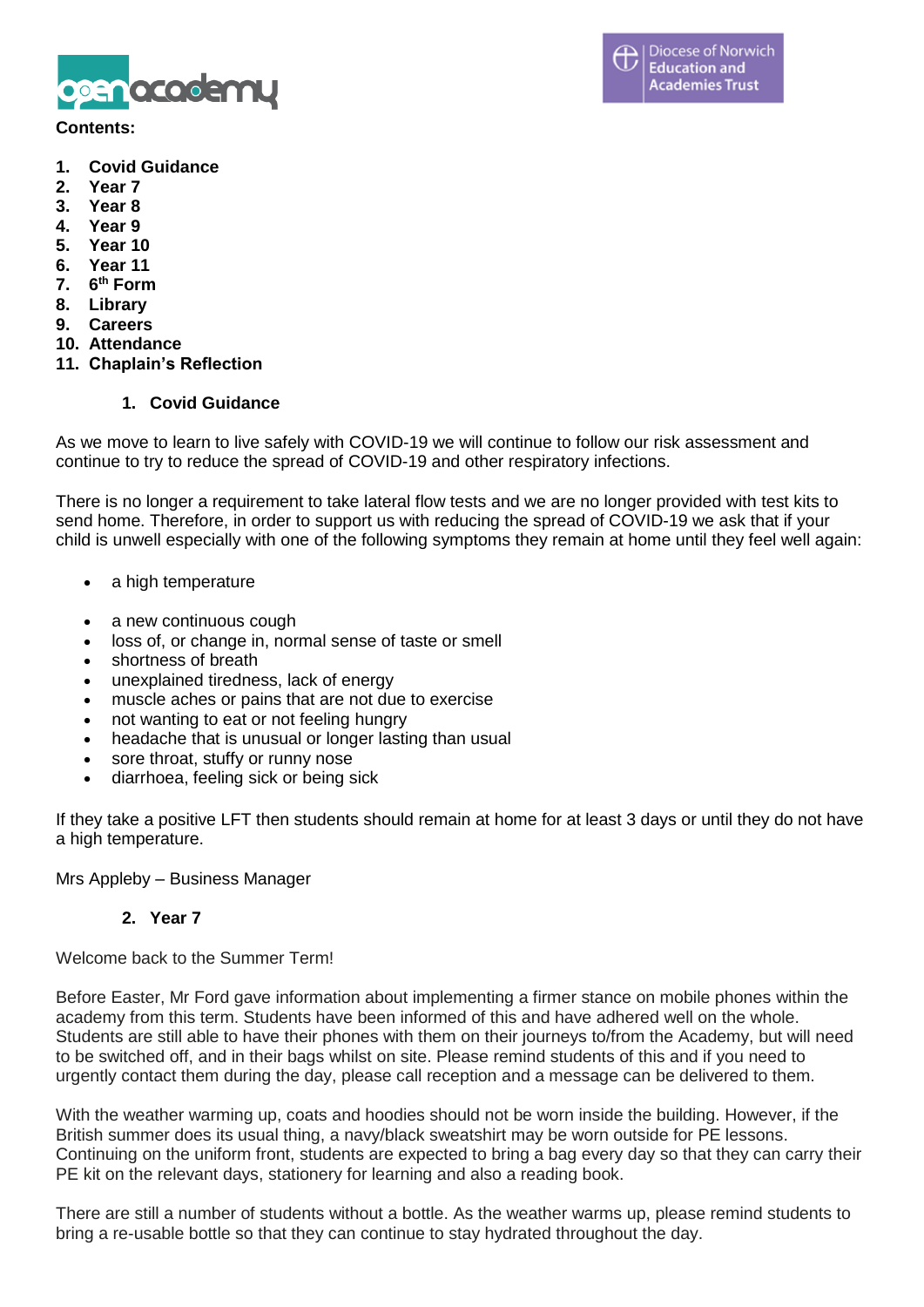

#### **Contents:**

- **1. Covid Guidance**
- **2. Year 7**
- **3. Year 8**
- **4. Year 9**
- **5. Year 10**
- **6. Year 11**
- **7. 6 th Form**
- **8. Library**
- **9. Careers**
- **10. Attendance**
- **11. Chaplain's Reflection**

## **1. Covid Guidance**

As we move to learn to live safely with COVID-19 we will continue to follow our risk assessment and continue to try to reduce the spread of COVID-19 and other respiratory infections.

There is no longer a requirement to take lateral flow tests and we are no longer provided with test kits to send home. Therefore, in order to support us with reducing the spread of COVID-19 we ask that if your child is unwell especially with one of the following symptoms they remain at home until they feel well again:

- a high temperature
- a new continuous cough
- loss of, or change in, normal sense of taste or smell
- shortness of breath
- unexplained tiredness, lack of energy
- muscle aches or pains that are not due to exercise
- not wanting to eat or not feeling hungry
- headache that is unusual or longer lasting than usual
- sore throat, stuffy or runny nose
- diarrhoea, feeling sick or being sick

If they take a positive LFT then students should remain at home for at least 3 days or until they do not have a high temperature.

Mrs Appleby – Business Manager

## **2. Year 7**

Welcome back to the Summer Term!

Before Easter, Mr Ford gave information about implementing a firmer stance on mobile phones within the academy from this term. Students have been informed of this and have adhered well on the whole. Students are still able to have their phones with them on their journeys to/from the Academy, but will need to be switched off, and in their bags whilst on site. Please remind students of this and if you need to urgently contact them during the day, please call reception and a message can be delivered to them.

With the weather warming up, coats and hoodies should not be worn inside the building. However, if the British summer does its usual thing, a navy/black sweatshirt may be worn outside for PE lessons. Continuing on the uniform front, students are expected to bring a bag every day so that they can carry their PE kit on the relevant days, stationery for learning and also a reading book.

There are still a number of students without a bottle. As the weather warms up, please remind students to bring a re-usable bottle so that they can continue to stay hydrated throughout the day.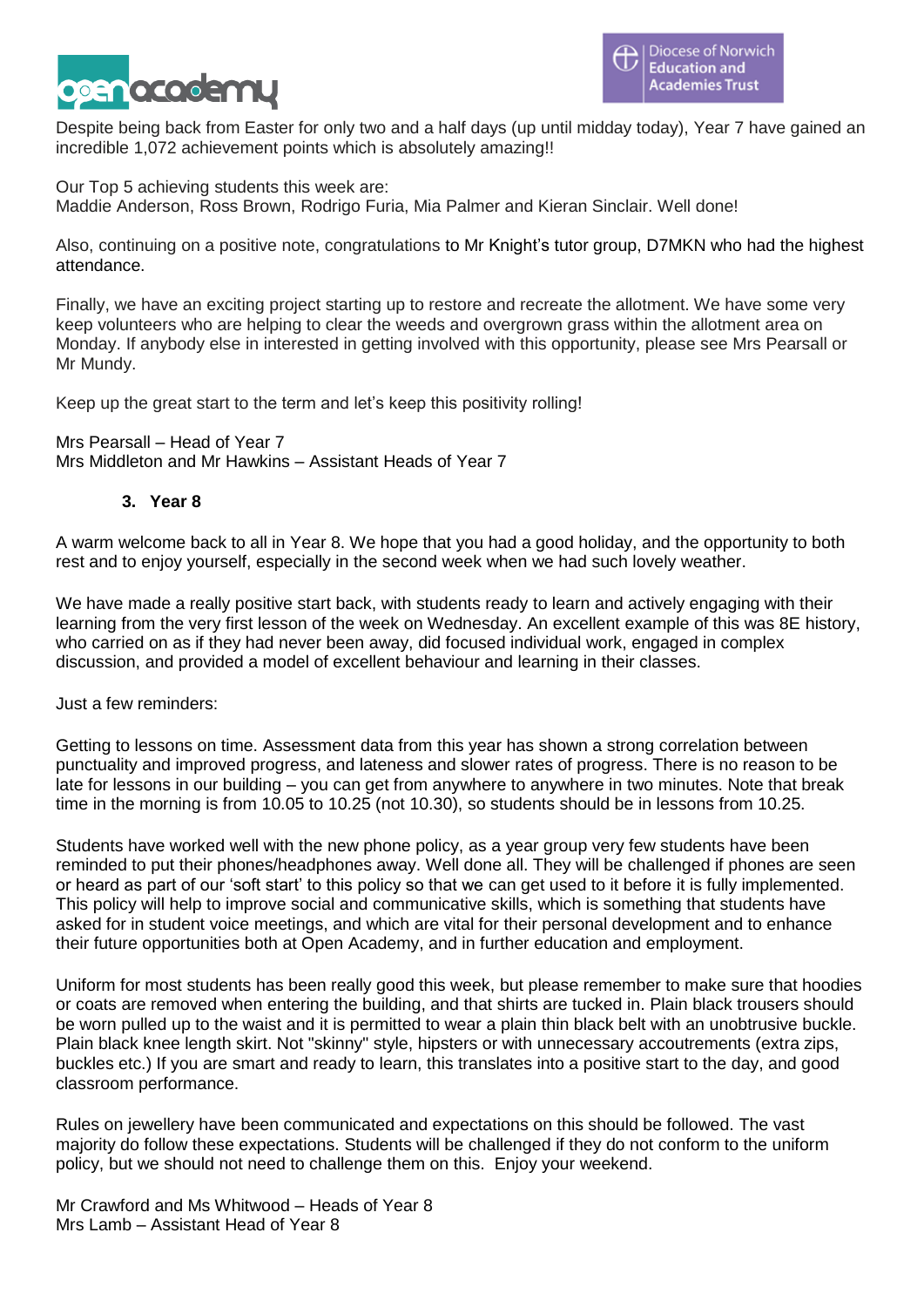

Despite being back from Easter for only two and a half days (up until midday today), Year 7 have gained an incredible 1,072 achievement points which is absolutely amazing!!

Our Top 5 achieving students this week are:

Maddie Anderson, Ross Brown, Rodrigo Furia, Mia Palmer and Kieran Sinclair. Well done!

Also, continuing on a positive note, congratulations to Mr Knight's tutor group, D7MKN who had the highest attendance.

Finally, we have an exciting project starting up to restore and recreate the allotment. We have some very keep volunteers who are helping to clear the weeds and overgrown grass within the allotment area on Monday. If anybody else in interested in getting involved with this opportunity, please see Mrs Pearsall or Mr Mundy.

Keep up the great start to the term and let's keep this positivity rolling!

Mrs Pearsall – Head of Year 7 Mrs Middleton and Mr Hawkins – Assistant Heads of Year 7

# **3. Year 8**

A warm welcome back to all in Year 8. We hope that you had a good holiday, and the opportunity to both rest and to enjoy yourself, especially in the second week when we had such lovely weather.

We have made a really positive start back, with students ready to learn and actively engaging with their learning from the very first lesson of the week on Wednesday. An excellent example of this was 8E history, who carried on as if they had never been away, did focused individual work, engaged in complex discussion, and provided a model of excellent behaviour and learning in their classes.

Just a few reminders:

Getting to lessons on time. Assessment data from this year has shown a strong correlation between punctuality and improved progress, and lateness and slower rates of progress. There is no reason to be late for lessons in our building – you can get from anywhere to anywhere in two minutes. Note that break time in the morning is from 10.05 to 10.25 (not 10.30), so students should be in lessons from 10.25.

Students have worked well with the new phone policy, as a year group very few students have been reminded to put their phones/headphones away. Well done all. They will be challenged if phones are seen or heard as part of our 'soft start' to this policy so that we can get used to it before it is fully implemented. This policy will help to improve social and communicative skills, which is something that students have asked for in student voice meetings, and which are vital for their personal development and to enhance their future opportunities both at Open Academy, and in further education and employment.

Uniform for most students has been really good this week, but please remember to make sure that hoodies or coats are removed when entering the building, and that shirts are tucked in. Plain black trousers should be worn pulled up to the waist and it is permitted to wear a plain thin black belt with an unobtrusive buckle. Plain black knee length skirt. Not "skinny" style, hipsters or with unnecessary accoutrements (extra zips, buckles etc.) If you are smart and ready to learn, this translates into a positive start to the day, and good classroom performance.

Rules on jewellery have been communicated and expectations on this should be followed. The vast majority do follow these expectations. Students will be challenged if they do not conform to the uniform policy, but we should not need to challenge them on this. Enjoy your weekend.

Mr Crawford and Ms Whitwood – Heads of Year 8 Mrs Lamb – Assistant Head of Year 8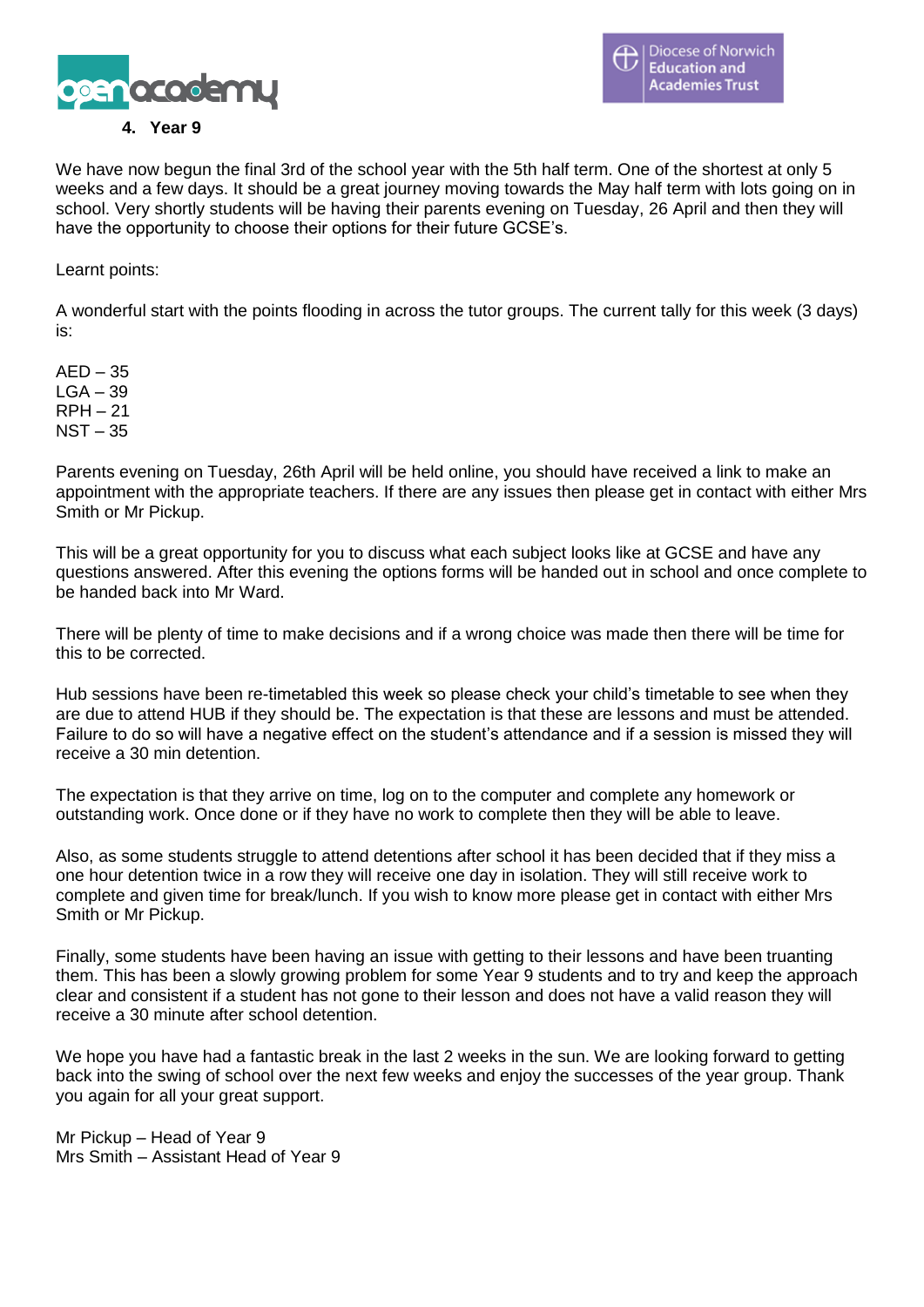

We have now begun the final 3rd of the school year with the 5th half term. One of the shortest at only 5 weeks and a few days. It should be a great journey moving towards the May half term with lots going on in school. Very shortly students will be having their parents evening on Tuesday, 26 April and then they will have the opportunity to choose their options for their future GCSE's.

Learnt points:

A wonderful start with the points flooding in across the tutor groups. The current tally for this week (3 days) is:

 $AED - 35$  $LGA - 39$ RPH – 21 NST – 35

Parents evening on Tuesday, 26th April will be held online, you should have received a link to make an appointment with the appropriate teachers. If there are any issues then please get in contact with either Mrs Smith or Mr Pickup.

This will be a great opportunity for you to discuss what each subject looks like at GCSE and have any questions answered. After this evening the options forms will be handed out in school and once complete to be handed back into Mr Ward.

There will be plenty of time to make decisions and if a wrong choice was made then there will be time for this to be corrected.

Hub sessions have been re-timetabled this week so please check your child's timetable to see when they are due to attend HUB if they should be. The expectation is that these are lessons and must be attended. Failure to do so will have a negative effect on the student's attendance and if a session is missed they will receive a 30 min detention.

The expectation is that they arrive on time, log on to the computer and complete any homework or outstanding work. Once done or if they have no work to complete then they will be able to leave.

Also, as some students struggle to attend detentions after school it has been decided that if they miss a one hour detention twice in a row they will receive one day in isolation. They will still receive work to complete and given time for break/lunch. If you wish to know more please get in contact with either Mrs Smith or Mr Pickup.

Finally, some students have been having an issue with getting to their lessons and have been truanting them. This has been a slowly growing problem for some Year 9 students and to try and keep the approach clear and consistent if a student has not gone to their lesson and does not have a valid reason they will receive a 30 minute after school detention.

We hope you have had a fantastic break in the last 2 weeks in the sun. We are looking forward to getting back into the swing of school over the next few weeks and enjoy the successes of the year group. Thank you again for all your great support.

Mr Pickup – Head of Year 9 Mrs Smith – Assistant Head of Year 9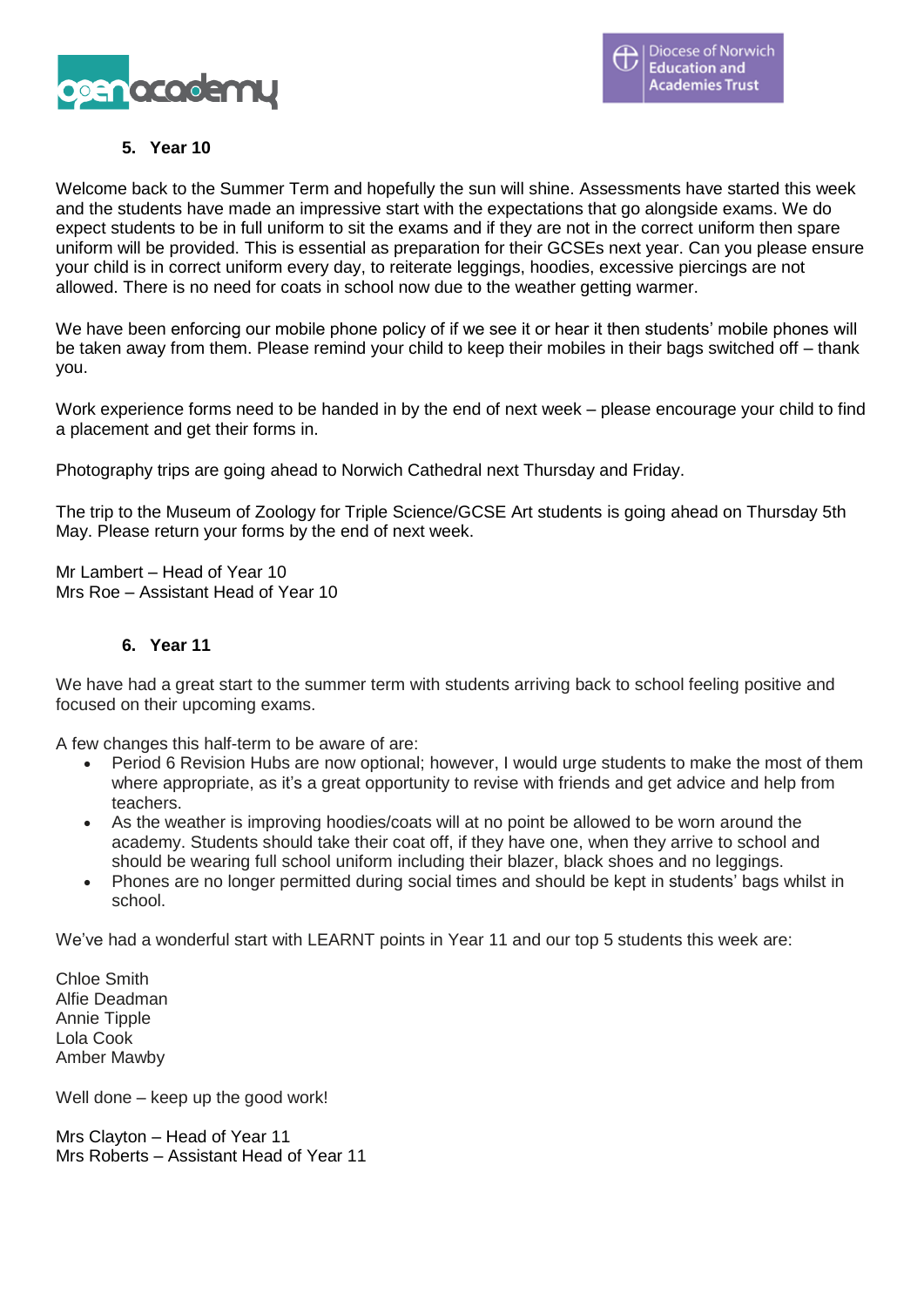

# **5. Year 10**

Welcome back to the Summer Term and hopefully the sun will shine. Assessments have started this week and the students have made an impressive start with the expectations that go alongside exams. We do expect students to be in full uniform to sit the exams and if they are not in the correct uniform then spare uniform will be provided. This is essential as preparation for their GCSEs next year. Can you please ensure your child is in correct uniform every day, to reiterate leggings, hoodies, excessive piercings are not allowed. There is no need for coats in school now due to the weather getting warmer.

We have been enforcing our mobile phone policy of if we see it or hear it then students' mobile phones will be taken away from them. Please remind your child to keep their mobiles in their bags switched off – thank you.

Work experience forms need to be handed in by the end of next week – please encourage your child to find a placement and get their forms in.

Photography trips are going ahead to Norwich Cathedral next Thursday and Friday.

The trip to the Museum of Zoology for Triple Science/GCSE Art students is going ahead on Thursday 5th May. Please return your forms by the end of next week.

Mr Lambert – Head of Year 10 Mrs Roe – Assistant Head of Year 10

#### **6. Year 11**

We have had a great start to the summer term with students arriving back to school feeling positive and focused on their upcoming exams.

A few changes this half-term to be aware of are:

- Period 6 Revision Hubs are now optional; however, I would urge students to make the most of them where appropriate, as it's a great opportunity to revise with friends and get advice and help from teachers.
- As the weather is improving hoodies/coats will at no point be allowed to be worn around the academy. Students should take their coat off, if they have one, when they arrive to school and should be wearing full school uniform including their blazer, black shoes and no leggings.
- Phones are no longer permitted during social times and should be kept in students' bags whilst in school.

We've had a wonderful start with LEARNT points in Year 11 and our top 5 students this week are:

Chloe Smith Alfie Deadman Annie Tipple Lola Cook Amber Mawby

Well done – keep up the good work!

Mrs Clayton – Head of Year 11 Mrs Roberts – Assistant Head of Year 11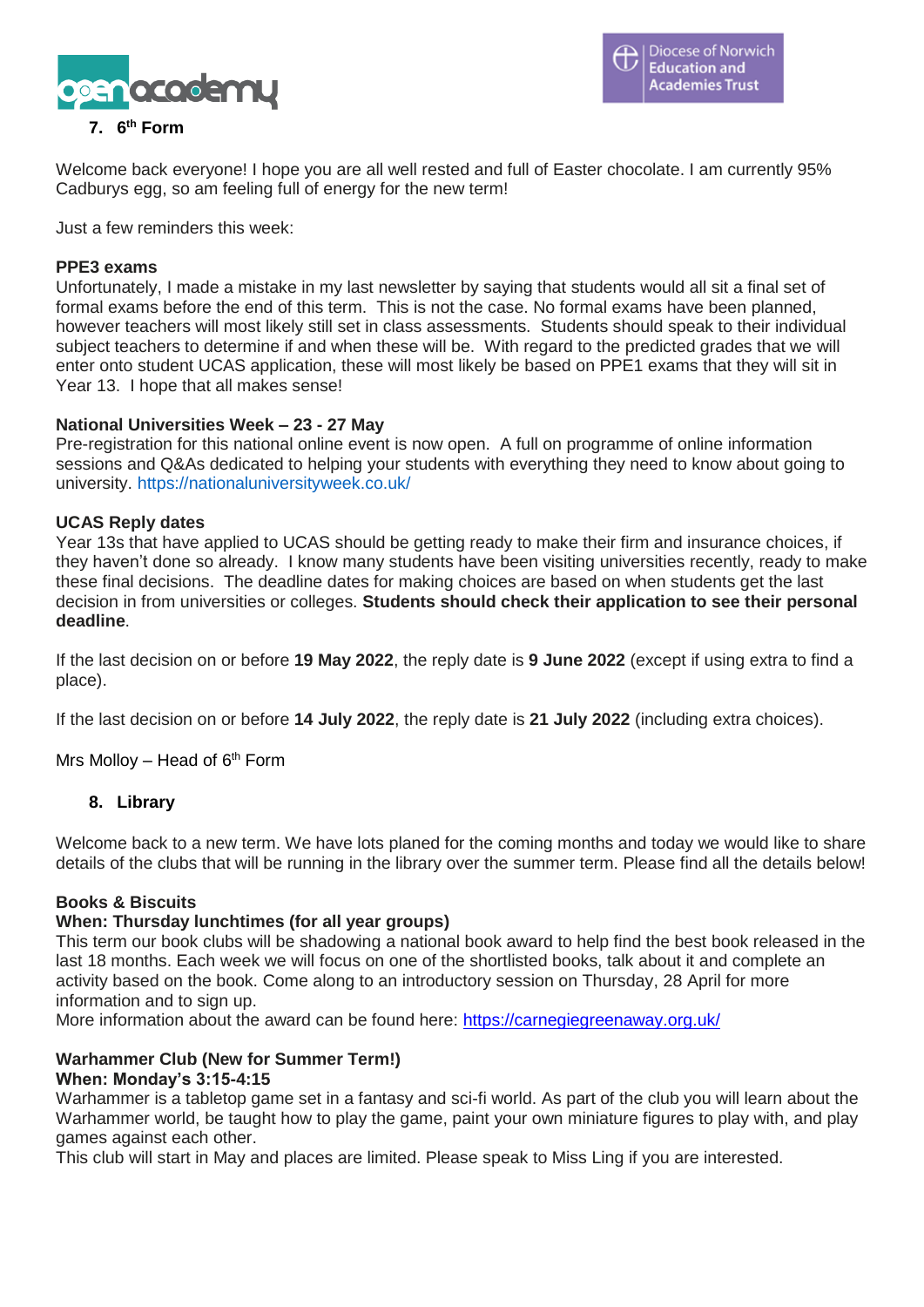

# **7. 6 th Form**

Welcome back everyone! I hope you are all well rested and full of Easter chocolate. I am currently 95% Cadburys egg, so am feeling full of energy for the new term!

Just a few reminders this week:

#### **PPE3 exams**

Unfortunately, I made a mistake in my last newsletter by saying that students would all sit a final set of formal exams before the end of this term. This is not the case. No formal exams have been planned, however teachers will most likely still set in class assessments. Students should speak to their individual subject teachers to determine if and when these will be. With regard to the predicted grades that we will enter onto student UCAS application, these will most likely be based on PPE1 exams that they will sit in Year 13. I hope that all makes sense!

#### **National Universities Week – 23 - 27 May**

Pre-registration for this national online event is now open. A full on programme of online information sessions and Q&As dedicated to helping your students with everything they need to know about going to university. [https://nationaluniversityweek.co.uk/](https://eur02.safelinks.protection.outlook.com/?url=https%3A%2F%2Fnationaluniversityweek.co.uk%2F&data=04%7C01%7Cphyllis.ogrady2%40norfolk.gov.uk%7Cbe3384a4d3fe4a9ab9f908da16383b87%7C1419177e57e04f0faff0fd61b549d10e%7C0%7C0%7C637846728006835199%7CUnknown%7CTWFpbGZsb3d8eyJWIjoiMC4wLjAwMDAiLCJQIjoiV2luMzIiLCJBTiI6Ik1haWwiLCJXVCI6Mn0%3D%7C3000&sdata=IbvdeI6ybSNp3v%2F8W7ADyP%2FR%2B2UW1WEuswQVIQbN8vM%3D&reserved=0)

#### **UCAS Reply dates**

Year 13s that have applied to UCAS should be getting ready to make their firm and insurance choices, if they haven't done so already. I know many students have been visiting universities recently, ready to make these final decisions. The deadline dates for making choices are based on when students get the last decision in from universities or colleges. **Students should check their application to see their personal deadline**.

If the last decision on or before **19 May 2022**, the reply date is **9 June 2022** (except if using extra to find a place).

If the last decision on or before **14 July 2022**, the reply date is **21 July 2022** (including extra choices).

Mrs Molloy – Head of  $6<sup>th</sup>$  Form

## **8. Library**

Welcome back to a new term. We have lots planed for the coming months and today we would like to share details of the clubs that will be running in the library over the summer term. Please find all the details below!

## **Books & Biscuits**

#### **When: Thursday lunchtimes (for all year groups)**

This term our book clubs will be shadowing a national book award to help find the best book released in the last 18 months. Each week we will focus on one of the shortlisted books, talk about it and complete an activity based on the book. Come along to an introductory session on Thursday, 28 April for more information and to sign up.

More information about the award can be found here: <https://carnegiegreenaway.org.uk/>

#### **Warhammer Club (New for Summer Term!) When: Monday's 3:15-4:15**

# Warhammer is a tabletop game set in a fantasy and sci-fi world. As part of the club you will learn about the

Warhammer world, be taught how to play the game, paint your own miniature figures to play with, and play games against each other.

This club will start in May and places are limited. Please speak to Miss Ling if you are interested.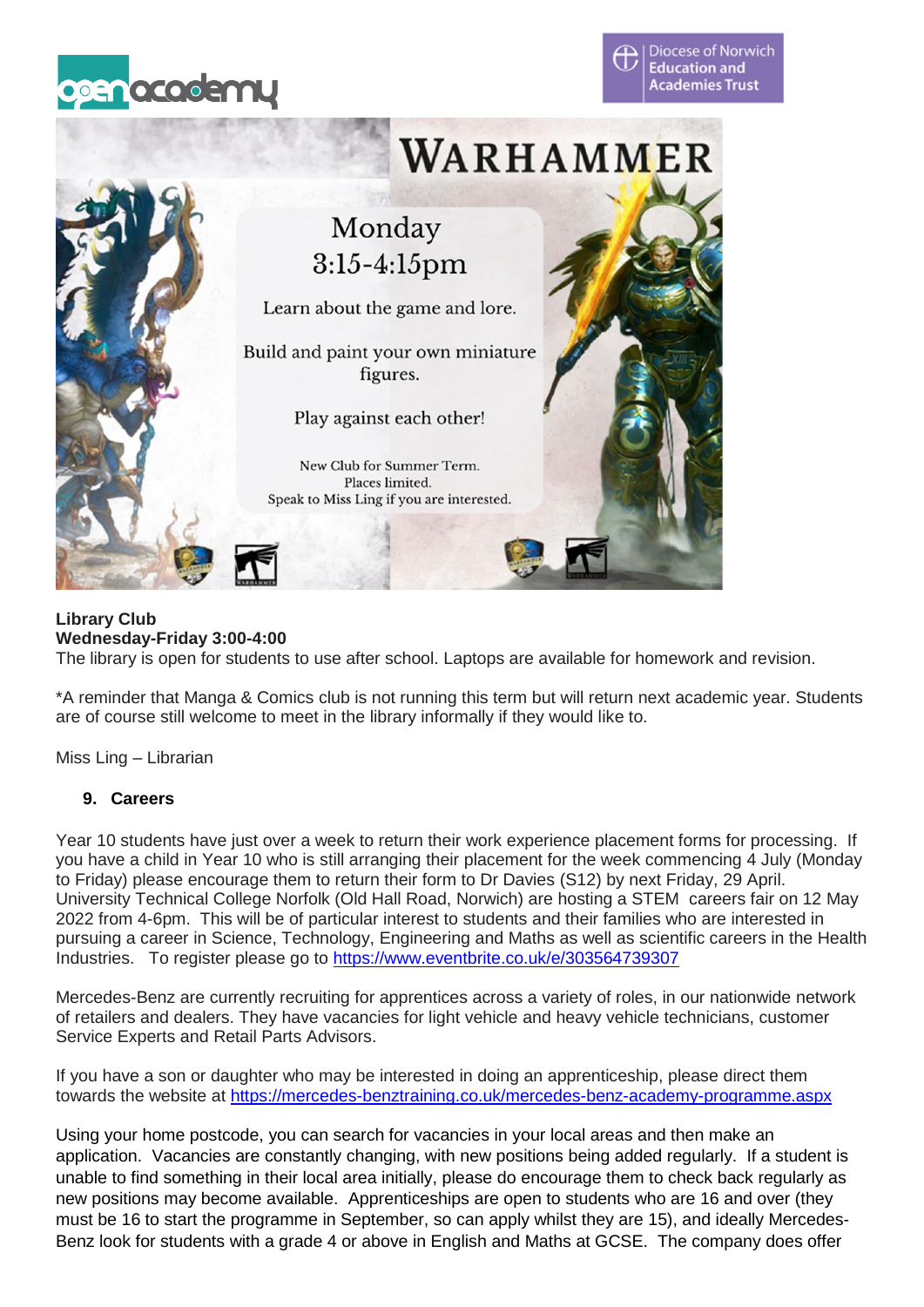





## **Library Club Wednesday-Friday 3:00-4:00**

The library is open for students to use after school. Laptops are available for homework and revision.

\*A reminder that Manga & Comics club is not running this term but will return next academic year. Students are of course still welcome to meet in the library informally if they would like to.

Miss Ling – Librarian

# **9. Careers**

Year 10 students have just over a week to return their work experience placement forms for processing. If you have a child in Year 10 who is still arranging their placement for the week commencing 4 July (Monday to Friday) please encourage them to return their form to Dr Davies (S12) by next Friday, 29 April. University Technical College Norfolk (Old Hall Road, Norwich) are hosting a STEM careers fair on 12 May 2022 from 4-6pm. This will be of particular interest to students and their families who are interested in pursuing a career in Science, Technology, Engineering and Maths as well as scientific careers in the Health Industries. To register please go to <https://www.eventbrite.co.uk/e/303564739307>

Mercedes-Benz are currently recruiting for apprentices across a variety of roles, in our nationwide network of retailers and dealers. They have vacancies for light vehicle and heavy vehicle technicians, customer Service Experts and Retail Parts Advisors.

If you have a son or daughter who may be interested in doing an apprenticeship, please direct them towards the website at <https://mercedes-benztraining.co.uk/mercedes-benz-academy-programme.aspx>

Using your home postcode, you can search for vacancies in your local areas and then make an application. Vacancies are constantly changing, with new positions being added regularly. If a student is unable to find something in their local area initially, please do encourage them to check back regularly as new positions may become available. Apprenticeships are open to students who are 16 and over (they must be 16 to start the programme in September, so can apply whilst they are 15), and ideally Mercedes-Benz look for students with a grade 4 or above in English and Maths at GCSE. The company does offer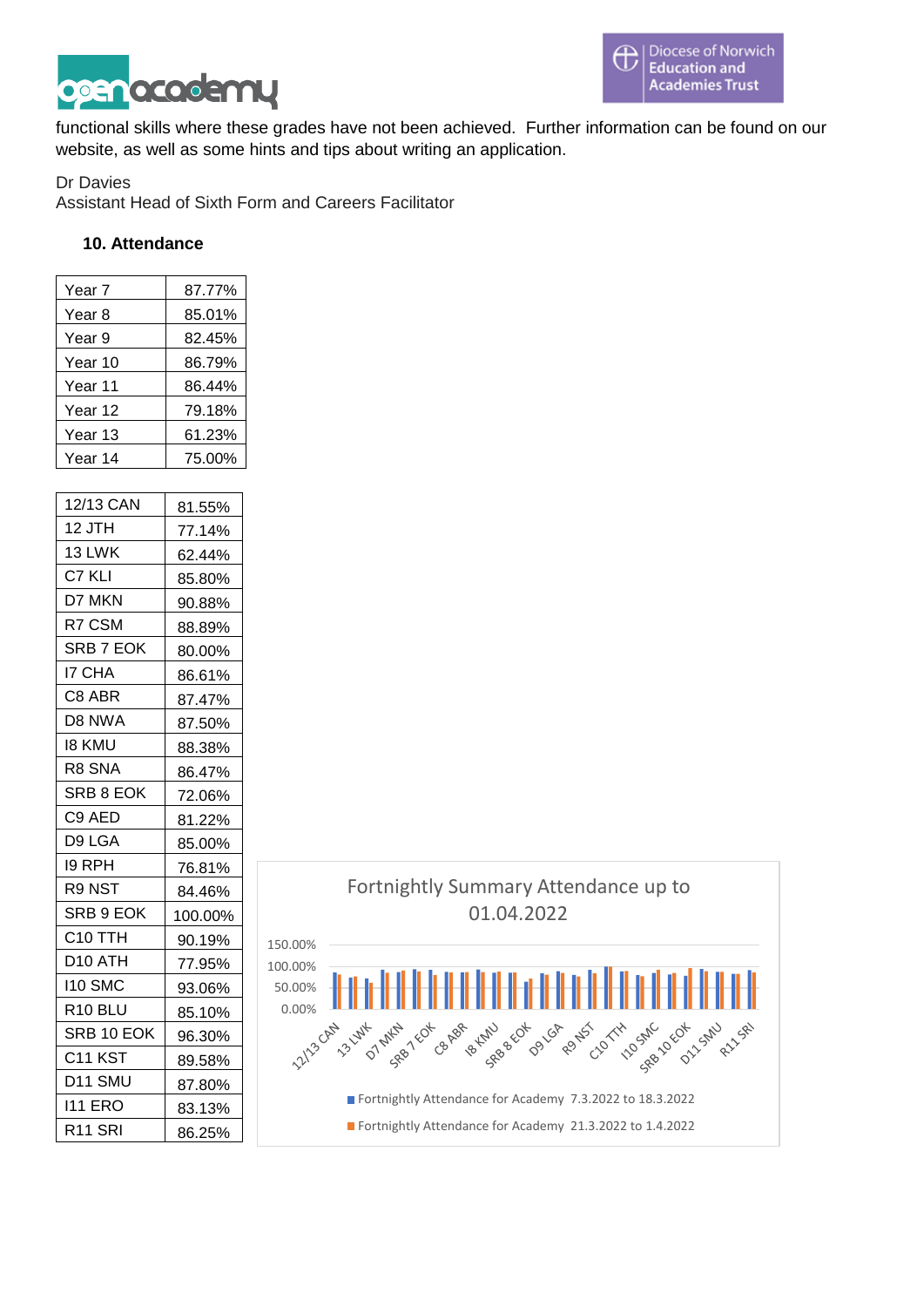

functional skills where these grades have not been achieved. Further information can be found on our website, as well as some hints and tips about writing an application.

#### Dr Davies

Assistant Head of Sixth Form and Careers Facilitator

#### **10. Attendance**

| Year 7    | 87.77% |
|-----------|--------|
| Year 8    | 85.01% |
| Year 9    | 82.45% |
| Year 10   | 86.79% |
| Year 11   | 86.44% |
| Year 12   | 79.18% |
| Year 13   | 61.23% |
| Year 14   | 75.00% |
|           |        |
| 12/13 CAN | 81.55% |
| 12 JTH    | 77.14% |
| 13 LWK    | 62.44% |
| C7 KLI    | 85.80% |
| D7 MKN    | 90.88% |
| R7 CSM    | 88.89% |
| SRB 7 EOK | 80.00% |
| I7 CHA    | 86.61% |
| C8 ABR    | 87.47% |
| D8 NWA    | 87.50% |
| 18 KMU    | 88.38% |
| R8 SNA    | 86.47% |
| SRB 8 EOK | 72.06% |
| C9 AED    | 81.22% |
| D9 LGA    | 85.00% |
| 19 RPH    | 76.81% |

R9 NST | 84.46% SRB 9 EOK | 100.00% C10 TTH 90.19% D10 ATH 77.95% I10 SMC 93.06% R10 BLU | 85.10% SRB 10 EOK | 96.30%  $C11 KST$  89.58% D11 SMU | 87.80% I11 ERO 83.13% R<sub>11</sub> SRI 86.25%

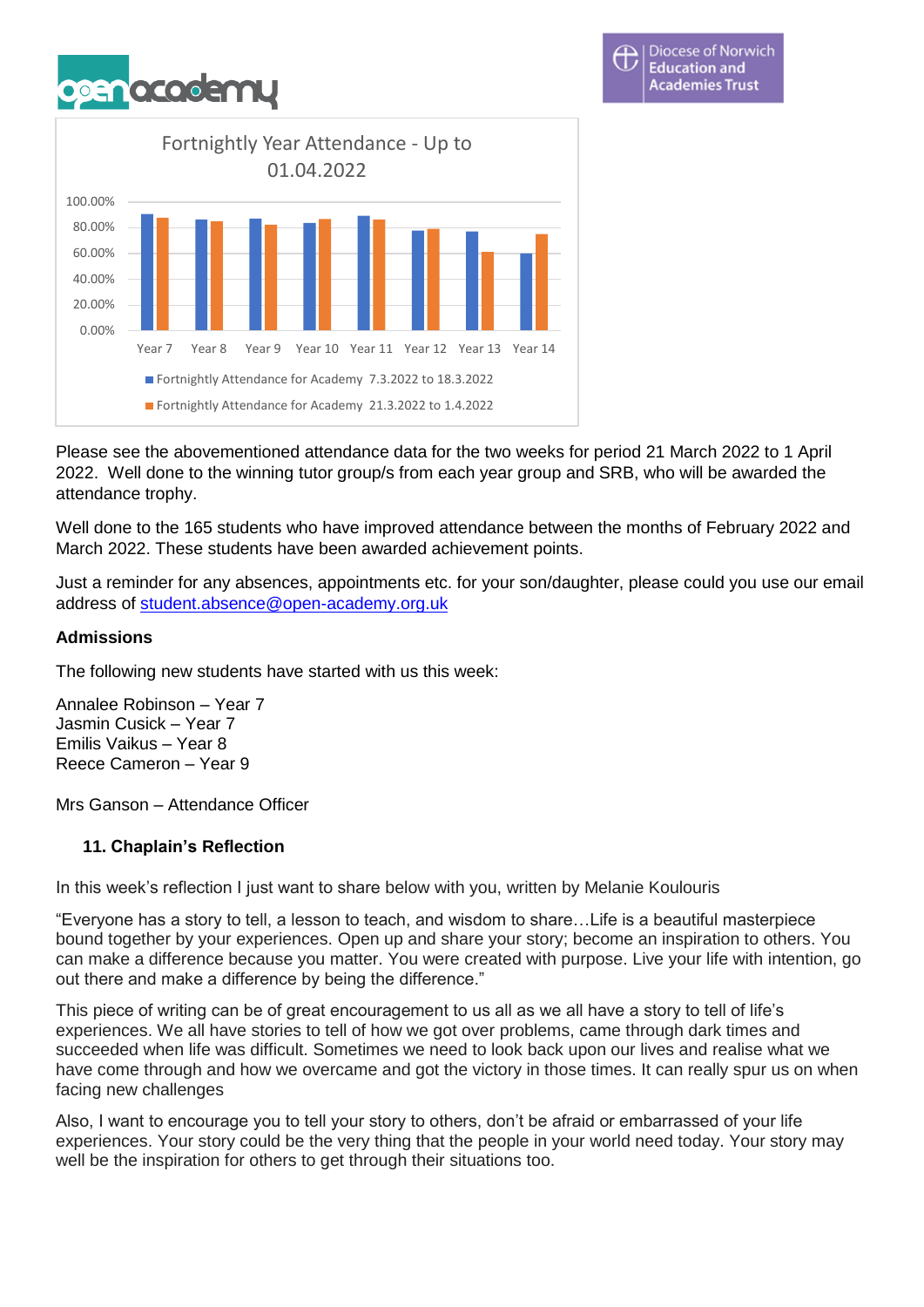



Please see the abovementioned attendance data for the two weeks for period 21 March 2022 to 1 April 2022. Well done to the winning tutor group/s from each year group and SRB, who will be awarded the attendance trophy.

Well done to the 165 students who have improved attendance between the months of February 2022 and March 2022. These students have been awarded achievement points.

Just a reminder for any absences, appointments etc. for your son/daughter, please could you use our email address of [student.absence@open-academy.org.uk](mailto:student.absence@open-academy.org.uk)

## **Admissions**

The following new students have started with us this week:

Annalee Robinson – Year 7 Jasmin Cusick – Year 7 Emilis Vaikus – Year 8 Reece Cameron – Year 9

Mrs Ganson – Attendance Officer

## **11. Chaplain's Reflection**

In this week's reflection I just want to share below with you, written by Melanie Koulouris

"Everyone has a story to tell, a lesson to teach, and wisdom to share…Life is a beautiful masterpiece bound together by your experiences. Open up and share your story; become an inspiration to others. You can make a difference because you matter. You were created with purpose. Live your life with intention, go out there and make a difference by being the difference."

This piece of writing can be of great encouragement to us all as we all have a story to tell of life's experiences. We all have stories to tell of how we got over problems, came through dark times and succeeded when life was difficult. Sometimes we need to look back upon our lives and realise what we have come through and how we overcame and got the victory in those times. It can really spur us on when facing new challenges

Also, I want to encourage you to tell your story to others, don't be afraid or embarrassed of your life experiences. Your story could be the very thing that the people in your world need today. Your story may well be the inspiration for others to get through their situations too.